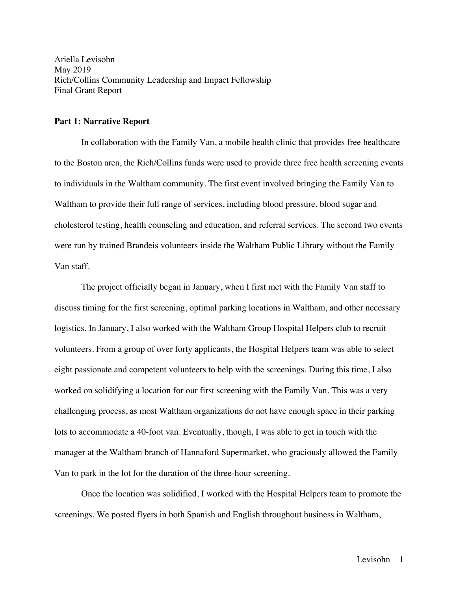Ariella Levisohn May 2019 Rich/Collins Community Leadership and Impact Fellowship Final Grant Report

### **Part 1: Narrative Report**

In collaboration with the Family Van, a mobile health clinic that provides free healthcare to the Boston area, the Rich/Collins funds were used to provide three free health screening events to individuals in the Waltham community. The first event involved bringing the Family Van to Waltham to provide their full range of services, including blood pressure, blood sugar and cholesterol testing, health counseling and education, and referral services. The second two events were run by trained Brandeis volunteers inside the Waltham Public Library without the Family Van staff.

The project officially began in January, when I first met with the Family Van staff to discuss timing for the first screening, optimal parking locations in Waltham, and other necessary logistics. In January, I also worked with the Waltham Group Hospital Helpers club to recruit volunteers. From a group of over forty applicants, the Hospital Helpers team was able to select eight passionate and competent volunteers to help with the screenings. During this time, I also worked on solidifying a location for our first screening with the Family Van. This was a very challenging process, as most Waltham organizations do not have enough space in their parking lots to accommodate a 40-foot van. Eventually, though, I was able to get in touch with the manager at the Waltham branch of Hannaford Supermarket, who graciously allowed the Family Van to park in the lot for the duration of the three-hour screening.

Once the location was solidified, I worked with the Hospital Helpers team to promote the screenings. We posted flyers in both Spanish and English throughout business in Waltham,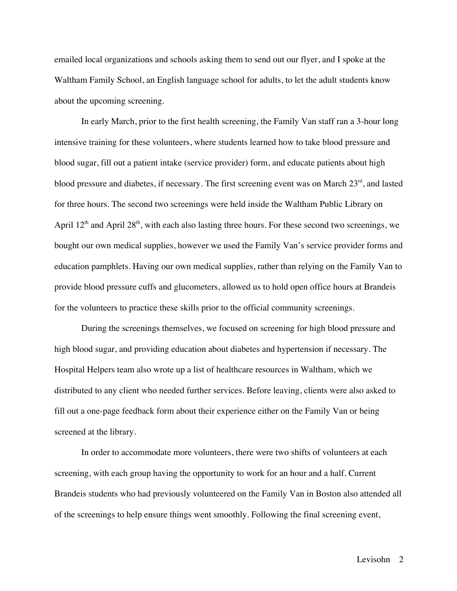emailed local organizations and schools asking them to send out our flyer, and I spoke at the Waltham Family School, an English language school for adults, to let the adult students know about the upcoming screening.

In early March, prior to the first health screening, the Family Van staff ran a 3-hour long intensive training for these volunteers, where students learned how to take blood pressure and blood sugar, fill out a patient intake (service provider) form, and educate patients about high blood pressure and diabetes, if necessary. The first screening event was on March  $23<sup>rd</sup>$ , and lasted for three hours. The second two screenings were held inside the Waltham Public Library on April  $12<sup>th</sup>$  and April  $28<sup>th</sup>$ , with each also lasting three hours. For these second two screenings, we bought our own medical supplies, however we used the Family Van's service provider forms and education pamphlets. Having our own medical supplies, rather than relying on the Family Van to provide blood pressure cuffs and glucometers, allowed us to hold open office hours at Brandeis for the volunteers to practice these skills prior to the official community screenings.

During the screenings themselves, we focused on screening for high blood pressure and high blood sugar, and providing education about diabetes and hypertension if necessary. The Hospital Helpers team also wrote up a list of healthcare resources in Waltham, which we distributed to any client who needed further services. Before leaving, clients were also asked to fill out a one-page feedback form about their experience either on the Family Van or being screened at the library.

In order to accommodate more volunteers, there were two shifts of volunteers at each screening, with each group having the opportunity to work for an hour and a half. Current Brandeis students who had previously volunteered on the Family Van in Boston also attended all of the screenings to help ensure things went smoothly. Following the final screening event,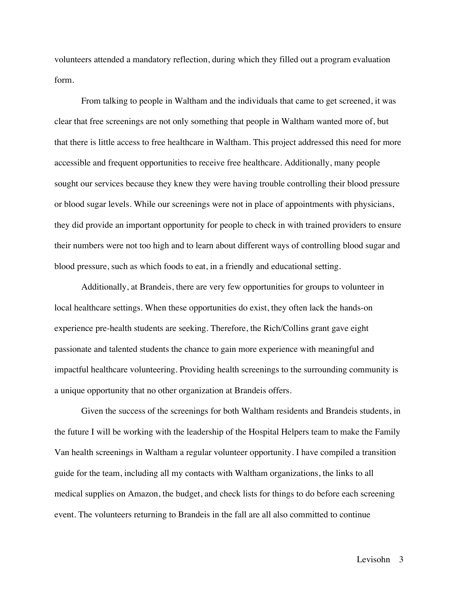volunteers attended a mandatory reflection, during which they filled out a program evaluation form.

From talking to people in Waltham and the individuals that came to get screened, it was clear that free screenings are not only something that people in Waltham wanted more of, but that there is little access to free healthcare in Waltham. This project addressed this need for more accessible and frequent opportunities to receive free healthcare. Additionally, many people sought our services because they knew they were having trouble controlling their blood pressure or blood sugar levels. While our screenings were not in place of appointments with physicians, they did provide an important opportunity for people to check in with trained providers to ensure their numbers were not too high and to learn about different ways of controlling blood sugar and blood pressure, such as which foods to eat, in a friendly and educational setting.

Additionally, at Brandeis, there are very few opportunities for groups to volunteer in local healthcare settings. When these opportunities do exist, they often lack the hands-on experience pre-health students are seeking. Therefore, the Rich/Collins grant gave eight passionate and talented students the chance to gain more experience with meaningful and impactful healthcare volunteering. Providing health screenings to the surrounding community is a unique opportunity that no other organization at Brandeis offers.

Given the success of the screenings for both Waltham residents and Brandeis students, in the future I will be working with the leadership of the Hospital Helpers team to make the Family Van health screenings in Waltham a regular volunteer opportunity. I have compiled a transition guide for the team, including all my contacts with Waltham organizations, the links to all medical supplies on Amazon, the budget, and check lists for things to do before each screening event. The volunteers returning to Brandeis in the fall are all also committed to continue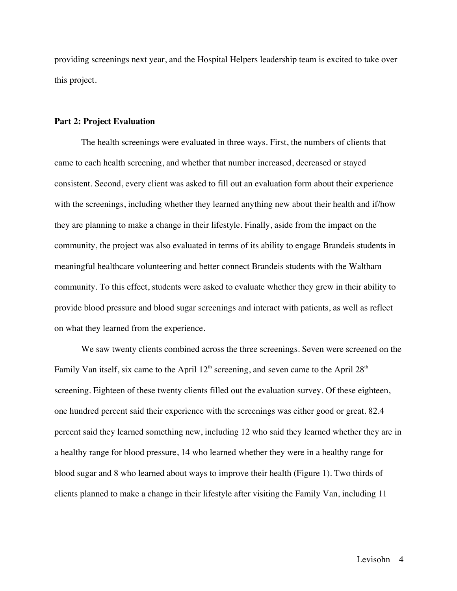providing screenings next year, and the Hospital Helpers leadership team is excited to take over this project.

### **Part 2: Project Evaluation**

The health screenings were evaluated in three ways. First, the numbers of clients that came to each health screening, and whether that number increased, decreased or stayed consistent. Second, every client was asked to fill out an evaluation form about their experience with the screenings, including whether they learned anything new about their health and if/how they are planning to make a change in their lifestyle. Finally, aside from the impact on the community, the project was also evaluated in terms of its ability to engage Brandeis students in meaningful healthcare volunteering and better connect Brandeis students with the Waltham community. To this effect, students were asked to evaluate whether they grew in their ability to provide blood pressure and blood sugar screenings and interact with patients, as well as reflect on what they learned from the experience.

We saw twenty clients combined across the three screenings. Seven were screened on the Family Van itself, six came to the April  $12<sup>th</sup>$  screening, and seven came to the April  $28<sup>th</sup>$ screening. Eighteen of these twenty clients filled out the evaluation survey. Of these eighteen, one hundred percent said their experience with the screenings was either good or great. 82.4 percent said they learned something new, including 12 who said they learned whether they are in a healthy range for blood pressure, 14 who learned whether they were in a healthy range for blood sugar and 8 who learned about ways to improve their health (Figure 1). Two thirds of clients planned to make a change in their lifestyle after visiting the Family Van, including 11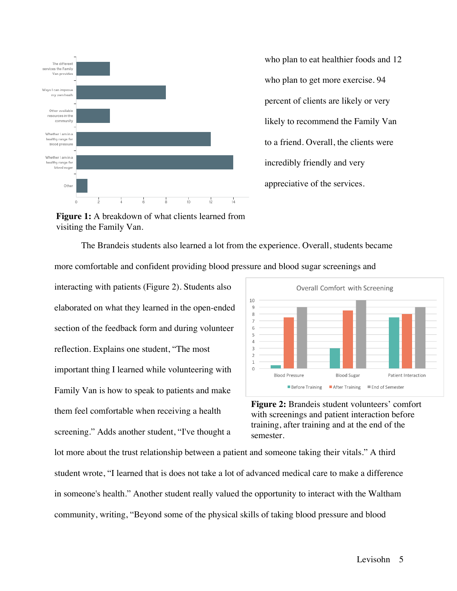

who plan to eat healthier foods and 12 who plan to get more exercise. 94 percent of clients are likely or very likely to recommend the Family Van to a friend. Overall, the clients were incredibly friendly and very appreciative of the services.

**Figure 1:** A breakdown of what clients learned from visiting the Family Van.

The Brandeis students also learned a lot from the experience. Overall, students became more comfortable and confident providing blood pressure and blood sugar screenings and

interacting with patients (Figure 2). Students also elaborated on what they learned in the open-ended section of the feedback form and during volunteer reflection. Explains one student, "The most important thing I learned while volunteering with Family Van is how to speak to patients and make them feel comfortable when receiving a health screening." Adds another student, "I've thought a



**Figure 2:** Brandeis student volunteers' comfort with screenings and patient interaction before training, after training and at the end of the semester.

lot more about the trust relationship between a patient and someone taking their vitals." A third student wrote, "I learned that is does not take a lot of advanced medical care to make a difference in someone's health." Another student really valued the opportunity to interact with the Waltham community, writing, "Beyond some of the physical skills of taking blood pressure and blood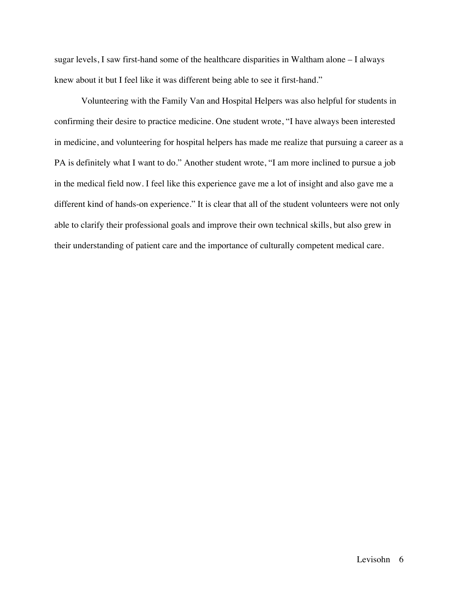sugar levels, I saw first-hand some of the healthcare disparities in Waltham alone – I always knew about it but I feel like it was different being able to see it first-hand."

Volunteering with the Family Van and Hospital Helpers was also helpful for students in confirming their desire to practice medicine. One student wrote, "I have always been interested in medicine, and volunteering for hospital helpers has made me realize that pursuing a career as a PA is definitely what I want to do." Another student wrote, "I am more inclined to pursue a job in the medical field now. I feel like this experience gave me a lot of insight and also gave me a different kind of hands-on experience." It is clear that all of the student volunteers were not only able to clarify their professional goals and improve their own technical skills, but also grew in their understanding of patient care and the importance of culturally competent medical care.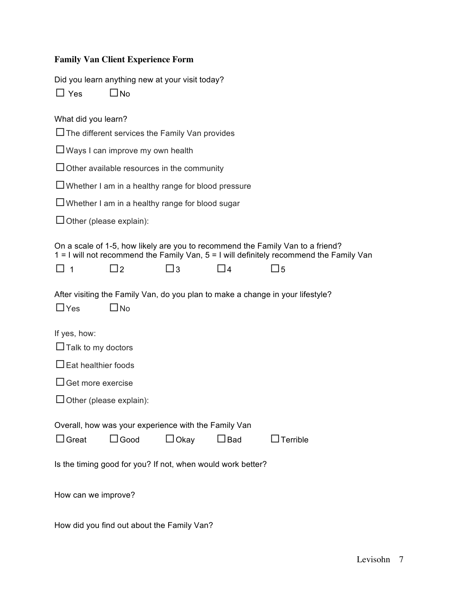# **Family Van Client Experience Form**

|  |  |  | Did you learn anything new at your visit today? |  |
|--|--|--|-------------------------------------------------|--|
|  |  |  |                                                 |  |

| $\Box$ Yes                                | $\square$ No                                                        |             |               |                                                                                                                                                                           |
|-------------------------------------------|---------------------------------------------------------------------|-------------|---------------|---------------------------------------------------------------------------------------------------------------------------------------------------------------------------|
| What did you learn?                       |                                                                     |             |               |                                                                                                                                                                           |
|                                           | $\Box$ The different services the Family Van provides               |             |               |                                                                                                                                                                           |
|                                           | $\Box$ Ways I can improve my own health                             |             |               |                                                                                                                                                                           |
|                                           | $\Box$ Other available resources in the community                   |             |               |                                                                                                                                                                           |
|                                           | $\Box$ Whether I am in a healthy range for blood pressure           |             |               |                                                                                                                                                                           |
|                                           | $\Box$ Whether I am in a healthy range for blood sugar              |             |               |                                                                                                                                                                           |
| $\Box$ Other (please explain):            |                                                                     |             |               |                                                                                                                                                                           |
|                                           |                                                                     |             |               | On a scale of 1-5, how likely are you to recommend the Family Van to a friend?<br>1 = I will not recommend the Family Van, 5 = I will definitely recommend the Family Van |
| $\Box$ 1                                  | $\sqsupset$ 2                                                       | $\Box$ 3    | $\sqsupset$ 4 | $\square$ 5                                                                                                                                                               |
| $\Box$ Yes                                | $\Box$ No                                                           |             |               | After visiting the Family Van, do you plan to make a change in your lifestyle?                                                                                            |
| If yes, how:<br>$\Box$ Talk to my doctors |                                                                     |             |               |                                                                                                                                                                           |
| $\Box$ Eat healthier foods                |                                                                     |             |               |                                                                                                                                                                           |
| $\Box$ Get more exercise                  |                                                                     |             |               |                                                                                                                                                                           |
| $\Box$ Other (please explain):            |                                                                     |             |               |                                                                                                                                                                           |
| $\Box$ Great                              | Overall, how was your experience with the Family Van<br>$\Box$ Good | $\Box$ Okay | $\Box$ Bad    | $\Box$ Terrible                                                                                                                                                           |
|                                           | Is the timing good for you? If not, when would work better?         |             |               |                                                                                                                                                                           |
| How can we improve?                       |                                                                     |             |               |                                                                                                                                                                           |

How did you find out about the Family Van?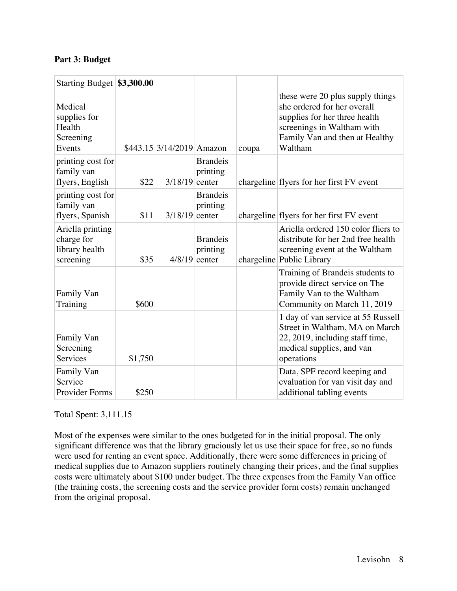## **Part 3: Budget**

| Starting Budget \$3,300.00                                    |         |                                                              |                                                |       |                                                                                                                                                                             |
|---------------------------------------------------------------|---------|--------------------------------------------------------------|------------------------------------------------|-------|-----------------------------------------------------------------------------------------------------------------------------------------------------------------------------|
| Medical<br>supplies for<br>Health<br>Screening<br>Events      |         | $$443.15 \,   \, 3/14 \,   \, 2019 \,   \, \, \text{Amazon}$ |                                                | coupa | these were 20 plus supply things<br>she ordered for her overall<br>supplies for her three health<br>screenings in Waltham with<br>Family Van and then at Healthy<br>Waltham |
| printing cost for<br>family van<br>flyers, English            | \$22    | $3/18/19$ center                                             | <b>Brandeis</b><br>printing                    |       | chargeline flyers for her first FV event                                                                                                                                    |
| printing cost for<br>family van<br>flyers, Spanish            | \$11    | $3/18/19$ center                                             | <b>Brandeis</b><br>printing                    |       | chargeline flyers for her first FV event                                                                                                                                    |
| Ariella printing<br>charge for<br>library health<br>screening | \$35    |                                                              | <b>Brandeis</b><br>printing<br>$4/8/19$ center |       | Ariella ordered 150 color fliers to<br>distribute for her 2nd free health<br>screening event at the Waltham<br>chargeline Public Library                                    |
| Family Van<br>Training                                        | \$600   |                                                              |                                                |       | Training of Brandeis students to<br>provide direct service on The<br>Family Van to the Waltham<br>Community on March 11, 2019                                               |
| Family Van<br>Screening<br>Services                           | \$1,750 |                                                              |                                                |       | 1 day of van service at 55 Russell<br>Street in Waltham, MA on March<br>22, 2019, including staff time,<br>medical supplies, and van<br>operations                          |
| Family Van<br>Service<br><b>Provider Forms</b>                | \$250   |                                                              |                                                |       | Data, SPF record keeping and<br>evaluation for van visit day and<br>additional tabling events                                                                               |

Total Spent: 3,111.15

Most of the expenses were similar to the ones budgeted for in the initial proposal. The only significant difference was that the library graciously let us use their space for free, so no funds were used for renting an event space. Additionally, there were some differences in pricing of medical supplies due to Amazon suppliers routinely changing their prices, and the final supplies costs were ultimately about \$100 under budget. The three expenses from the Family Van office (the training costs, the screening costs and the service provider form costs) remain unchanged from the original proposal.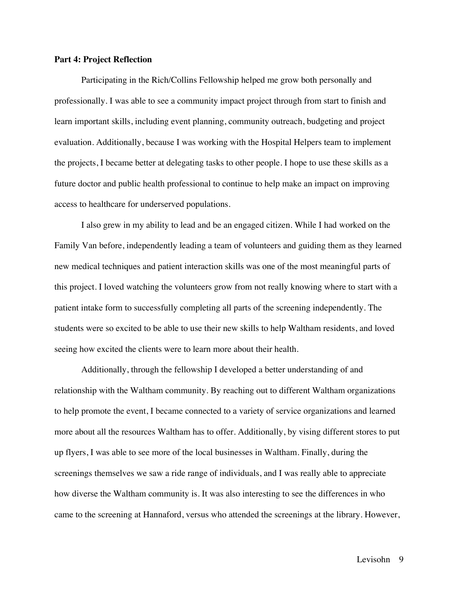### **Part 4: Project Reflection**

Participating in the Rich/Collins Fellowship helped me grow both personally and professionally. I was able to see a community impact project through from start to finish and learn important skills, including event planning, community outreach, budgeting and project evaluation. Additionally, because I was working with the Hospital Helpers team to implement the projects, I became better at delegating tasks to other people. I hope to use these skills as a future doctor and public health professional to continue to help make an impact on improving access to healthcare for underserved populations.

I also grew in my ability to lead and be an engaged citizen. While I had worked on the Family Van before, independently leading a team of volunteers and guiding them as they learned new medical techniques and patient interaction skills was one of the most meaningful parts of this project. I loved watching the volunteers grow from not really knowing where to start with a patient intake form to successfully completing all parts of the screening independently. The students were so excited to be able to use their new skills to help Waltham residents, and loved seeing how excited the clients were to learn more about their health.

Additionally, through the fellowship I developed a better understanding of and relationship with the Waltham community. By reaching out to different Waltham organizations to help promote the event, I became connected to a variety of service organizations and learned more about all the resources Waltham has to offer. Additionally, by vising different stores to put up flyers, I was able to see more of the local businesses in Waltham. Finally, during the screenings themselves we saw a ride range of individuals, and I was really able to appreciate how diverse the Waltham community is. It was also interesting to see the differences in who came to the screening at Hannaford, versus who attended the screenings at the library. However,